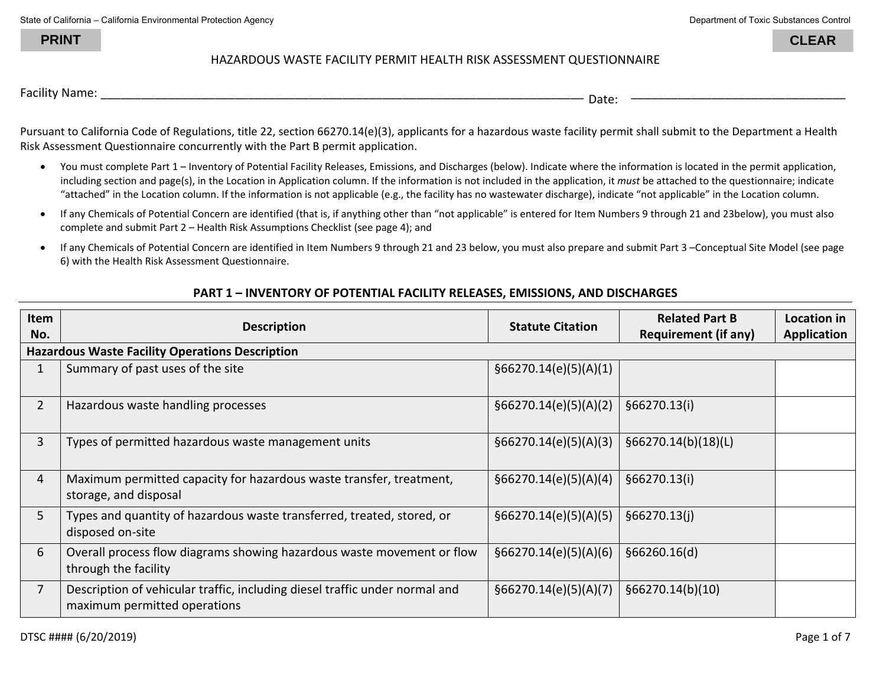State of California – California Environmental Protection Agency **Department of Toxic Substances Control** Department of Toxic Substances Control

**PRINT**

\_\_\_\_\_\_\_\_\_\_\_\_\_\_\_\_\_\_\_\_\_\_\_\_\_\_\_\_\_\_\_\_

**CLEAR**

## HAZARDOUS WASTE FACILITY PERMIT HEALTH RISK ASSESSMENT QUESTIONNAIRE

Facility Name: \_\_\_\_\_\_\_\_\_\_\_\_\_\_\_\_\_\_\_\_\_\_\_\_\_\_\_\_\_\_\_\_\_\_\_\_\_\_\_\_\_\_\_\_\_\_\_\_\_\_\_\_\_\_\_\_\_\_\_\_\_\_\_\_\_\_\_\_\_\_\_\_ Date:

Pursuant to California Code of Regulations, title 22, section 66270.14(e)(3), applicants for a hazardous waste facility permit shall submit to the Department a Health Risk Assessment Questionnaire concurrently with the Part B permit application.

- $\bullet$  You must complete Part 1 – Inventory of Potential Facility Releases, Emissions, and Discharges (below). Indicate where the information is located in the permit application, including section and page(s), in the Location in Application column. If the information is not included in the application, it *must* be attached to the questionnaire; indicate "attached" in the Location column. If the information is not applicable (e.g., the facility has no wastewater discharge), indicate "not applicable" in the Location column.
- If any Chemicals of Potential Concern are identified (that is, if anything other than "not applicable" is entered for Item Numbers 9 through 21 and 23below), you must also complete and submit Part 2 – Health Risk Assumptions Checklist (see page 4); and
- $\bullet$  If any Chemicals of Potential Concern are identified in Item Numbers 9 through 21 and 23 below, you must also prepare and submit Part 3 –Conceptual Site Model (see page 6) with the Health Risk Assessment Questionnaire.

## **PART 1 – INVENTORY OF POTENTIAL FACILITY RELEASES, EMISSIONS, AND DISCHARGES**

| Item<br>No.    | <b>Description</b>                                                                                          | <b>Statute Citation</b> | <b>Related Part B</b><br><b>Requirement (if any)</b> | Location in<br><b>Application</b> |
|----------------|-------------------------------------------------------------------------------------------------------------|-------------------------|------------------------------------------------------|-----------------------------------|
|                | <b>Hazardous Waste Facility Operations Description</b>                                                      |                         |                                                      |                                   |
| $\mathbf{1}$   | Summary of past uses of the site                                                                            | §66270.14(e)(5)(A)(1)   |                                                      |                                   |
| $\overline{2}$ | Hazardous waste handling processes                                                                          | §66270.14(e)(5)(A)(2)   | §66270.13(i)                                         |                                   |
| 3              | Types of permitted hazardous waste management units                                                         | §66270.14(e)(5)(A)(3)   | §66270.14(b)(18)(L)                                  |                                   |
| 4              | Maximum permitted capacity for hazardous waste transfer, treatment,<br>storage, and disposal                | §66270.14(e)(5)(A)(4)   | §66270.13(i)                                         |                                   |
| 5 <sup>1</sup> | Types and quantity of hazardous waste transferred, treated, stored, or<br>disposed on-site                  | §66270.14(e)(5)(A)(5)   | \$66270.13(i)                                        |                                   |
| 6              | Overall process flow diagrams showing hazardous waste movement or flow<br>through the facility              | §66270.14(e)(5)(A)(6)   | §66260.16(d)                                         |                                   |
| $\overline{7}$ | Description of vehicular traffic, including diesel traffic under normal and<br>maximum permitted operations | §66270.14(e)(5)(A)(7)   | §66270.14(b)(10)                                     |                                   |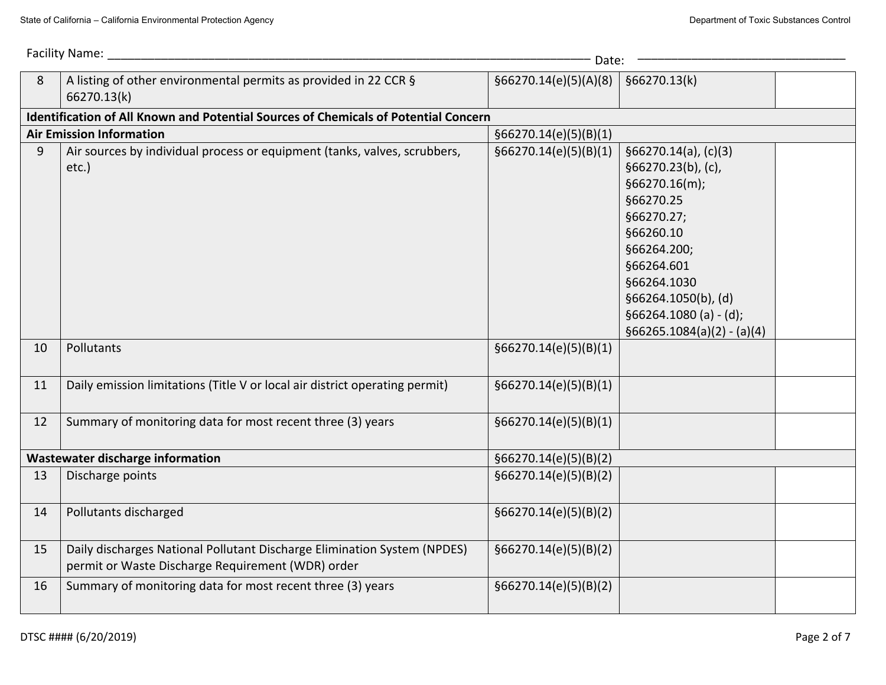| Facility Name:<br>Date: |                                                                                                                               |                       |                                                                                                                                                                                                                                    |  |
|-------------------------|-------------------------------------------------------------------------------------------------------------------------------|-----------------------|------------------------------------------------------------------------------------------------------------------------------------------------------------------------------------------------------------------------------------|--|
| 8                       | A listing of other environmental permits as provided in 22 CCR §<br>66270.13(k)                                               | §66270.14(e)(5)(A)(8) | §66270.13(k)                                                                                                                                                                                                                       |  |
|                         | Identification of All Known and Potential Sources of Chemicals of Potential Concern                                           |                       |                                                                                                                                                                                                                                    |  |
|                         | <b>Air Emission Information</b>                                                                                               | §66270.14(e)(5)(B)(1) |                                                                                                                                                                                                                                    |  |
| 9                       | Air sources by individual process or equipment (tanks, valves, scrubbers,<br>etc.)                                            | §66270.14(e)(5)(B)(1) | §66270.14(a), (c)(3)<br>§66270.23(b), (c),<br>§66270.16(m);<br>§66270.25<br>§66270.27;<br>§66260.10<br>§66264.200;<br>§66264.601<br>§66264.1030<br>§66264.1050(b), (d)<br>$§66264.1080 (a) - (d);$<br>$§66265.1084(a)(2) - (a)(4)$ |  |
| 10                      | Pollutants                                                                                                                    | §66270.14(e)(5)(B)(1) |                                                                                                                                                                                                                                    |  |
| 11                      | Daily emission limitations (Title V or local air district operating permit)                                                   | §66270.14(e)(5)(B)(1) |                                                                                                                                                                                                                                    |  |
| 12                      | Summary of monitoring data for most recent three (3) years                                                                    | §66270.14(e)(5)(B)(1) |                                                                                                                                                                                                                                    |  |
|                         | Wastewater discharge information                                                                                              | §66270.14(e)(5)(B)(2) |                                                                                                                                                                                                                                    |  |
| 13                      | Discharge points                                                                                                              | §66270.14(e)(5)(B)(2) |                                                                                                                                                                                                                                    |  |
| 14                      | Pollutants discharged                                                                                                         | §66270.14(e)(5)(B)(2) |                                                                                                                                                                                                                                    |  |
| 15                      | Daily discharges National Pollutant Discharge Elimination System (NPDES)<br>permit or Waste Discharge Requirement (WDR) order | §66270.14(e)(5)(B)(2) |                                                                                                                                                                                                                                    |  |
| 16                      | Summary of monitoring data for most recent three (3) years                                                                    | §66270.14(e)(5)(B)(2) |                                                                                                                                                                                                                                    |  |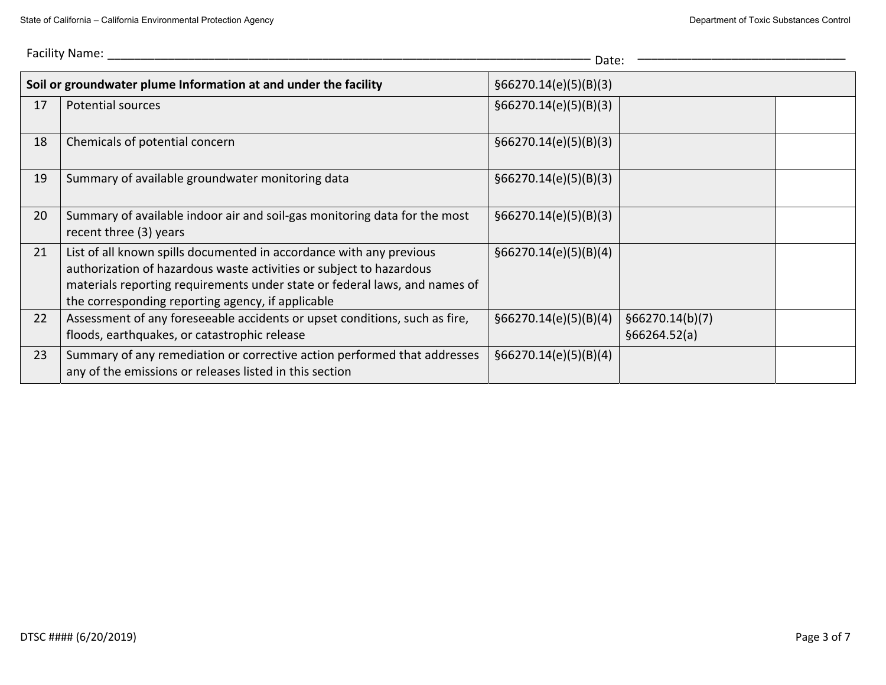|    | Facility Name:<br>Date:                                                                                                                                                                                                                                                       |                       |                                 |  |  |
|----|-------------------------------------------------------------------------------------------------------------------------------------------------------------------------------------------------------------------------------------------------------------------------------|-----------------------|---------------------------------|--|--|
|    | Soil or groundwater plume Information at and under the facility                                                                                                                                                                                                               | §66270.14(e)(5)(B)(3) |                                 |  |  |
| 17 | Potential sources                                                                                                                                                                                                                                                             | §66270.14(e)(5)(B)(3) |                                 |  |  |
| 18 | Chemicals of potential concern                                                                                                                                                                                                                                                | §66270.14(e)(5)(B)(3) |                                 |  |  |
| 19 | Summary of available groundwater monitoring data                                                                                                                                                                                                                              | §66270.14(e)(5)(B)(3) |                                 |  |  |
| 20 | Summary of available indoor air and soil-gas monitoring data for the most<br>recent three (3) years                                                                                                                                                                           | §66270.14(e)(5)(B)(3) |                                 |  |  |
| 21 | List of all known spills documented in accordance with any previous<br>authorization of hazardous waste activities or subject to hazardous<br>materials reporting requirements under state or federal laws, and names of<br>the corresponding reporting agency, if applicable | §66270.14(e)(5)(B)(4) |                                 |  |  |
| 22 | Assessment of any foreseeable accidents or upset conditions, such as fire,<br>floods, earthquakes, or catastrophic release                                                                                                                                                    | §66270.14(e)(5)(B)(4) | §66270.14(b)(7)<br>§66264.52(a) |  |  |
| 23 | Summary of any remediation or corrective action performed that addresses<br>any of the emissions or releases listed in this section                                                                                                                                           | §66270.14(e)(5)(B)(4) |                                 |  |  |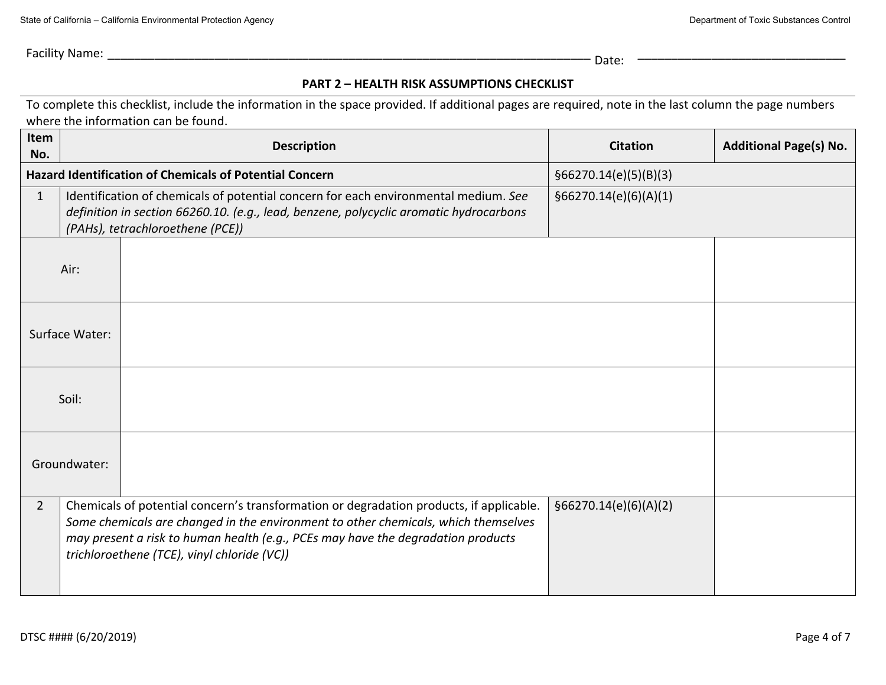Facility Name: \_\_\_\_\_\_\_\_\_\_\_\_\_\_\_\_\_\_\_\_\_\_\_\_\_\_\_\_\_\_\_\_\_\_\_\_\_\_\_\_\_\_\_\_\_\_\_\_\_\_\_\_\_\_\_\_\_\_\_\_\_\_\_\_\_\_\_\_\_\_\_\_ Date:

\_\_\_\_\_\_\_\_\_\_\_\_\_\_\_\_\_\_\_\_\_\_\_\_\_\_\_\_\_\_\_

## **PART 2 – HEALTH RISK ASSUMPTIONS CHECKLIST**

To complete this checklist, include the information in the space provided. If additional pages are required, note in the last column the page numbers where the information can be found.

| Item<br>No.                                                    |                                                                                                                                                                                                                                            | <b>Description</b>                                                                                                                                                                                                                                                                                               | <b>Citation</b>       | <b>Additional Page(s) No.</b> |
|----------------------------------------------------------------|--------------------------------------------------------------------------------------------------------------------------------------------------------------------------------------------------------------------------------------------|------------------------------------------------------------------------------------------------------------------------------------------------------------------------------------------------------------------------------------------------------------------------------------------------------------------|-----------------------|-------------------------------|
| <b>Hazard Identification of Chemicals of Potential Concern</b> |                                                                                                                                                                                                                                            | §66270.14(e)(5)(B)(3)                                                                                                                                                                                                                                                                                            |                       |                               |
| $\mathbf{1}$                                                   | Identification of chemicals of potential concern for each environmental medium. See<br>§66270.14(e)(6)(A)(1)<br>definition in section 66260.10. (e.g., lead, benzene, polycyclic aromatic hydrocarbons<br>(PAHs), tetrachloroethene (PCE)) |                                                                                                                                                                                                                                                                                                                  |                       |                               |
|                                                                | Air:                                                                                                                                                                                                                                       |                                                                                                                                                                                                                                                                                                                  |                       |                               |
|                                                                | Surface Water:                                                                                                                                                                                                                             |                                                                                                                                                                                                                                                                                                                  |                       |                               |
|                                                                | Soil:                                                                                                                                                                                                                                      |                                                                                                                                                                                                                                                                                                                  |                       |                               |
|                                                                | Groundwater:                                                                                                                                                                                                                               |                                                                                                                                                                                                                                                                                                                  |                       |                               |
| $\overline{2}$                                                 |                                                                                                                                                                                                                                            | Chemicals of potential concern's transformation or degradation products, if applicable.<br>Some chemicals are changed in the environment to other chemicals, which themselves<br>may present a risk to human health (e.g., PCEs may have the degradation products<br>trichloroethene (TCE), vinyl chloride (VC)) | §66270.14(e)(6)(A)(2) |                               |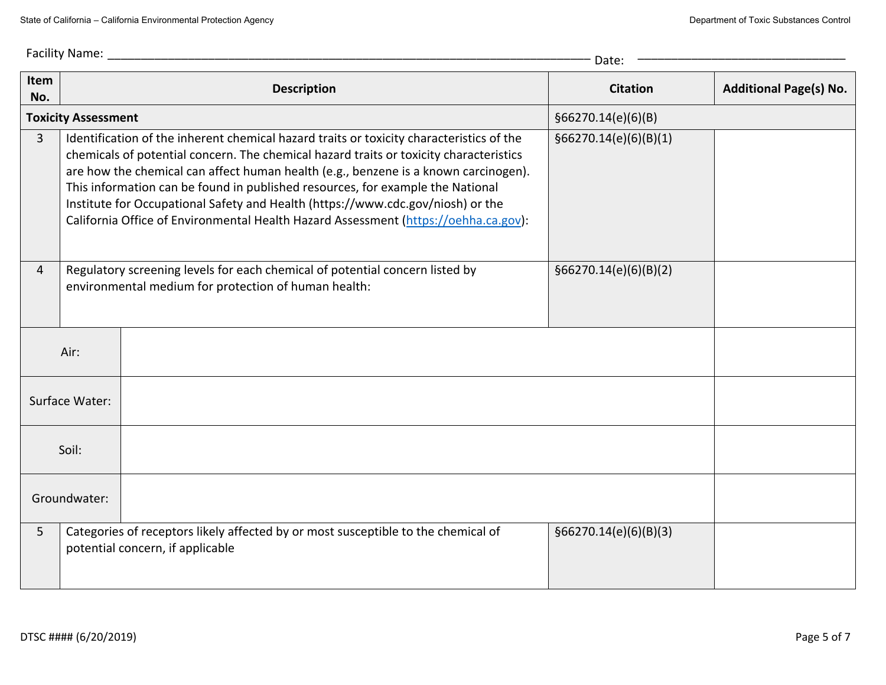|                            | Facility Name:<br>Date: |                                                                                                                                                                                                                                                                                                                                                                                                                                                                                                                                       |                        |                               |  |
|----------------------------|-------------------------|---------------------------------------------------------------------------------------------------------------------------------------------------------------------------------------------------------------------------------------------------------------------------------------------------------------------------------------------------------------------------------------------------------------------------------------------------------------------------------------------------------------------------------------|------------------------|-------------------------------|--|
| Item<br>No.                |                         | <b>Description</b>                                                                                                                                                                                                                                                                                                                                                                                                                                                                                                                    | <b>Citation</b>        | <b>Additional Page(s) No.</b> |  |
| <b>Toxicity Assessment</b> |                         | §66270.14(e)(6)(B)                                                                                                                                                                                                                                                                                                                                                                                                                                                                                                                    |                        |                               |  |
| $\overline{3}$             |                         | Identification of the inherent chemical hazard traits or toxicity characteristics of the<br>chemicals of potential concern. The chemical hazard traits or toxicity characteristics<br>are how the chemical can affect human health (e.g., benzene is a known carcinogen).<br>This information can be found in published resources, for example the National<br>Institute for Occupational Safety and Health (https://www.cdc.gov/niosh) or the<br>California Office of Environmental Health Hazard Assessment (https://oehha.ca.gov): | §66270.14(e)(6)(B)(1)  |                               |  |
| $\overline{4}$             |                         | Regulatory screening levels for each chemical of potential concern listed by<br>environmental medium for protection of human health:                                                                                                                                                                                                                                                                                                                                                                                                  | \$66270.14(e)(6)(B)(2) |                               |  |
| Air:                       |                         |                                                                                                                                                                                                                                                                                                                                                                                                                                                                                                                                       |                        |                               |  |
| Surface Water:             |                         |                                                                                                                                                                                                                                                                                                                                                                                                                                                                                                                                       |                        |                               |  |
| Soil:                      |                         |                                                                                                                                                                                                                                                                                                                                                                                                                                                                                                                                       |                        |                               |  |
| Groundwater:               |                         |                                                                                                                                                                                                                                                                                                                                                                                                                                                                                                                                       |                        |                               |  |
| 5                          |                         | Categories of receptors likely affected by or most susceptible to the chemical of<br>potential concern, if applicable                                                                                                                                                                                                                                                                                                                                                                                                                 | \$66270.14(e)(6)(B)(3) |                               |  |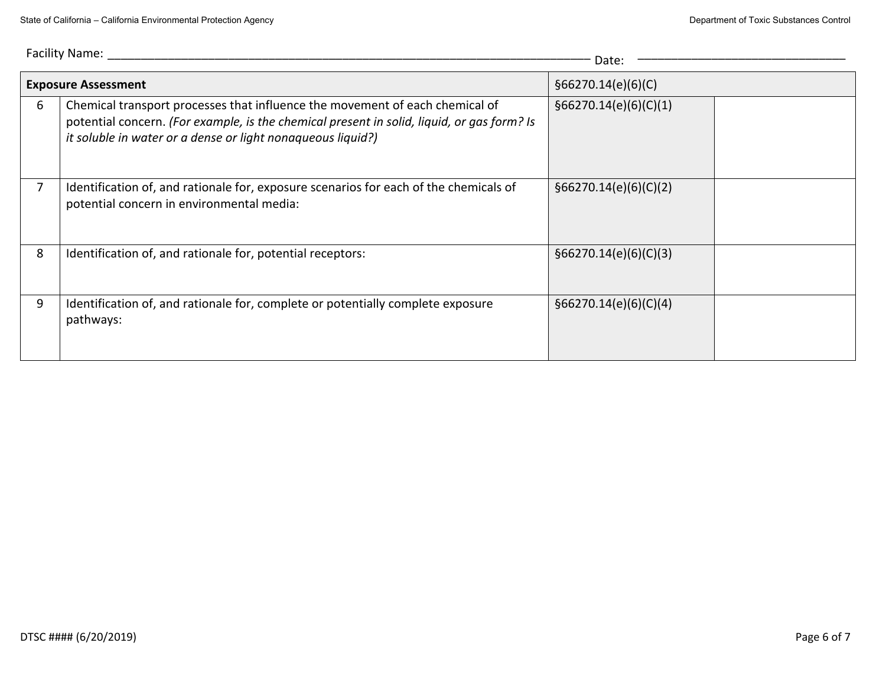| Facility Name:<br>Date: |                                                                                                                                                                                                                                           |                       |  |
|-------------------------|-------------------------------------------------------------------------------------------------------------------------------------------------------------------------------------------------------------------------------------------|-----------------------|--|
|                         | <b>Exposure Assessment</b>                                                                                                                                                                                                                | \$66270.14(e)(6)(C)   |  |
| 6                       | Chemical transport processes that influence the movement of each chemical of<br>potential concern. (For example, is the chemical present in solid, liquid, or gas form? Is<br>it soluble in water or a dense or light nonaqueous liquid?) | §66270.14(e)(6)(C)(1) |  |
|                         | Identification of, and rationale for, exposure scenarios for each of the chemicals of<br>potential concern in environmental media:                                                                                                        | §66270.14(e)(6)(C)(2) |  |
| 8                       | Identification of, and rationale for, potential receptors:                                                                                                                                                                                | §66270.14(e)(6)(C)(3) |  |
| 9                       | Identification of, and rationale for, complete or potentially complete exposure<br>pathways:                                                                                                                                              | §66270.14(e)(6)(C)(4) |  |